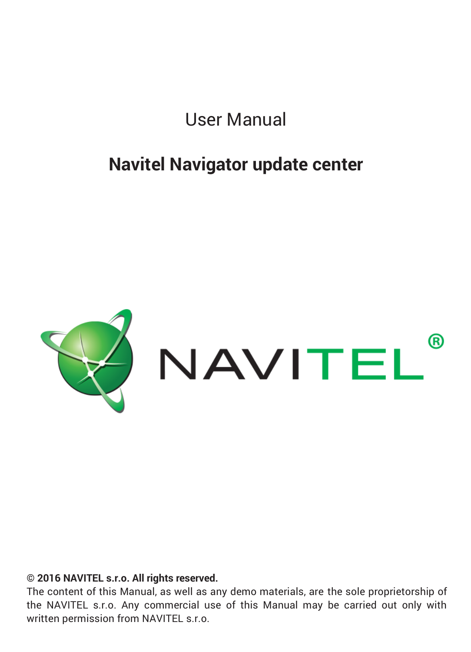User Manual

## **Navitel Navigator update center**



## **© 2016 NAVITEL s.r.o. All rights reserved.**

The content of this Manual, as well as any demo materials, are the sole proprietorship of the NAVITEL s.r.o. Any commercial use of this Manual may be carried out only with written permission from NAVITEL s.r.o.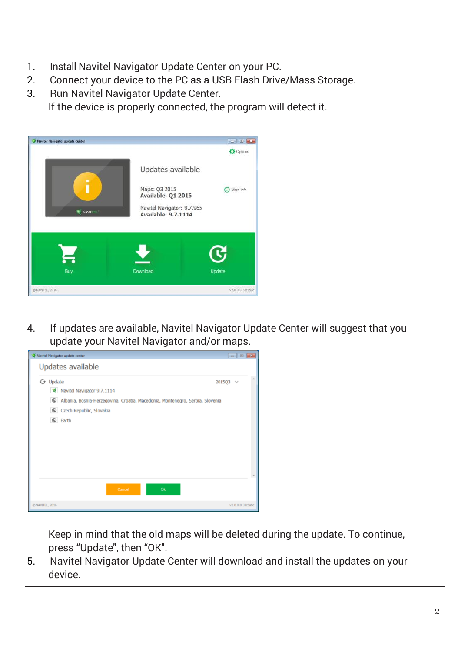- 1. Install Navitel Navigator Update Center on your PC.
- 2. Connect your device to the PC as a USB Flash Drive/Mass Storage.
- 3. Run Navitel Navigator Update Center. If the device is properly connected, the program will detect it.



4. If updates are available, Navitel Navigator Update Center will suggest that you update your Navitel Navigator and/or maps.



Keep in mind that the old maps will be deleted during the update. To continue, press "Update", then "OK".

5. Navitel Navigator Update Center will download and install the updates on your device.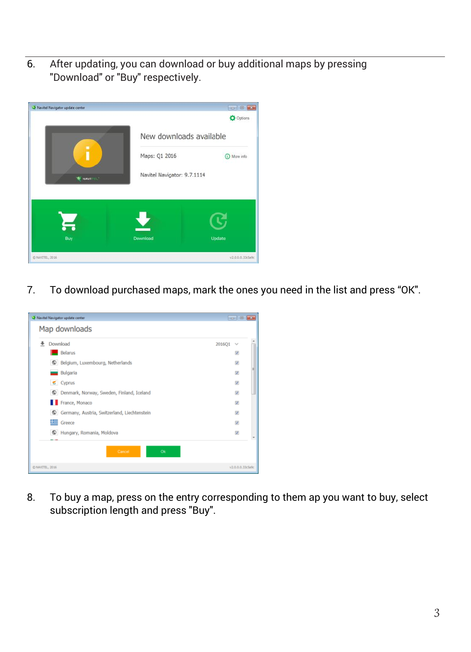6. After updating, you can download or buy additional maps by pressing "Download" or "Buy" respectively.



7. To download purchased maps, mark the ones you need in the list and press "OK".



8. To buy a map, press on the entry corresponding to them ap you want to buy, select subscription length and press "Buy".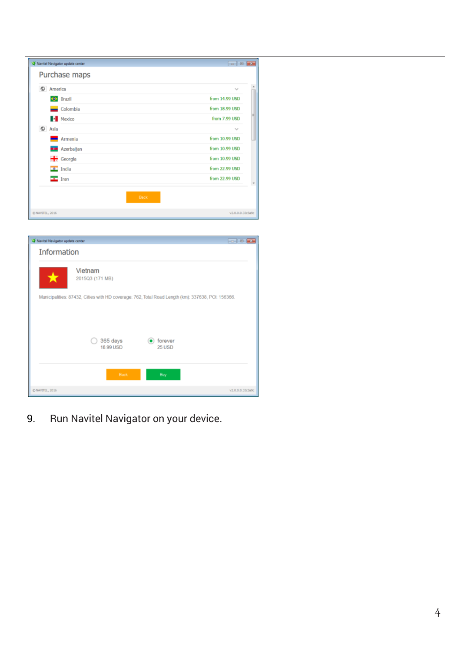|                 |              | Navitel Navigator update center | $\overline{\phantom{a}}$ $\overline{\phantom{a}}$ $\overline{\phantom{a}}$ $\overline{\phantom{a}}$ $\overline{\phantom{a}}$ |
|-----------------|--------------|---------------------------------|------------------------------------------------------------------------------------------------------------------------------|
|                 |              | Purchase maps                   |                                                                                                                              |
|                 | C America    |                                 | $\checkmark$                                                                                                                 |
|                 |              | <b>O</b> Brazil                 | from 14.99 USD                                                                                                               |
|                 |              | $\Box$ Colombia                 | from 18.99 USD                                                                                                               |
|                 |              | Mexico                          | from 7.99 USD                                                                                                                |
|                 | $\circ$ Asia |                                 | $\sim$                                                                                                                       |
|                 |              | Armenia                         | from 10.99 USD                                                                                                               |
|                 |              | <b>KOR</b> Azerbaijan           | from 10.99 USD                                                                                                               |
|                 |              | <b>÷ Georgia</b>                | from 10.99 USD                                                                                                               |
|                 |              | $\bullet$ India                 | from 22.99 USD                                                                                                               |
|                 |              | $\frac{1}{2}$ Iran              | from 22.99 USD                                                                                                               |
|                 |              | Back                            |                                                                                                                              |
| C NAVITEL, 2016 |              |                                 | v2.0.0.0.33cSa9c                                                                                                             |



9. Run Navitel Navigator on your device.